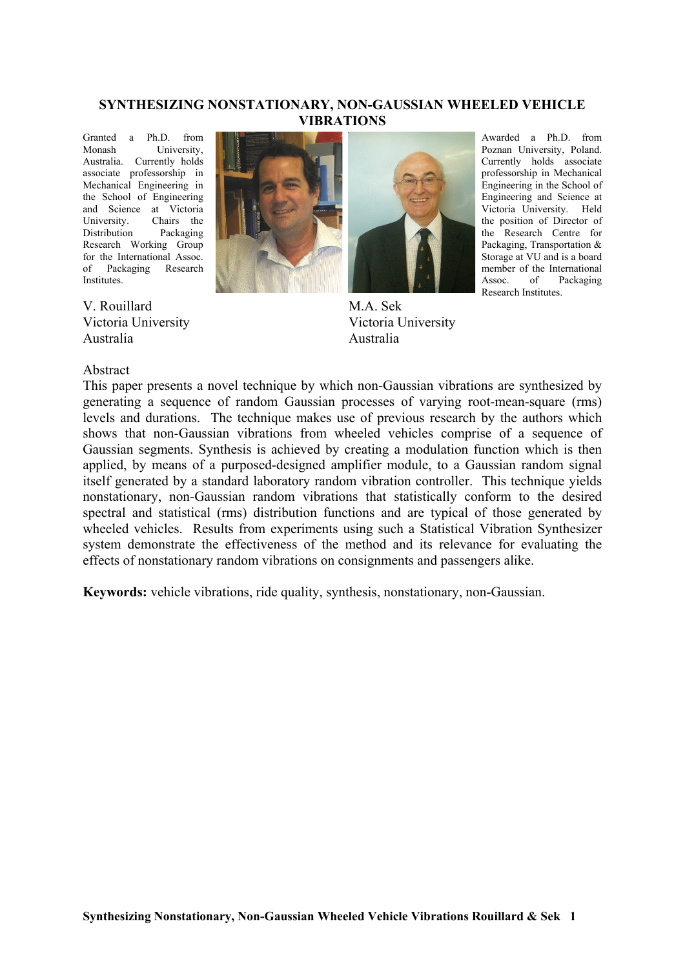### **SYNTHESIZING NONSTATIONARY, NON-GAUSSIAN WHEELED VEHICLE VIBRATIONS**

Granted a Ph.D. from<br>Monash University **University** Australia. Currently holds associate professorship in Mechanical Engineering in the School of Engineering and Science at Victoria University. Chairs the Distribution Packaging Research Working Group for the International Assoc. of Packaging Research Institutes.

V. Rouillard Victoria University Australia





M.A. Sek Victoria University Australia

Awarded a Ph.D. from Poznan University, Poland. Currently holds associate professorship in Mechanical Engineering in the School of Engineering and Science at Victoria University. Held the position of Director of the Research Centre for Packaging, Transportation & Storage at VU and is a board member of the International Assoc. of Packaging Research Institutes.

### Abstract

This paper presents a novel technique by which non-Gaussian vibrations are synthesized by generating a sequence of random Gaussian processes of varying root-mean-square (rms) levels and durations. The technique makes use of previous research by the authors which shows that non-Gaussian vibrations from wheeled vehicles comprise of a sequence of Gaussian segments. Synthesis is achieved by creating a modulation function which is then applied, by means of a purposed-designed amplifier module, to a Gaussian random signal itself generated by a standard laboratory random vibration controller. This technique yields nonstationary, non-Gaussian random vibrations that statistically conform to the desired spectral and statistical (rms) distribution functions and are typical of those generated by wheeled vehicles. Results from experiments using such a Statistical Vibration Synthesizer system demonstrate the effectiveness of the method and its relevance for evaluating the effects of nonstationary random vibrations on consignments and passengers alike.

**Keywords:** vehicle vibrations, ride quality, synthesis, nonstationary, non-Gaussian.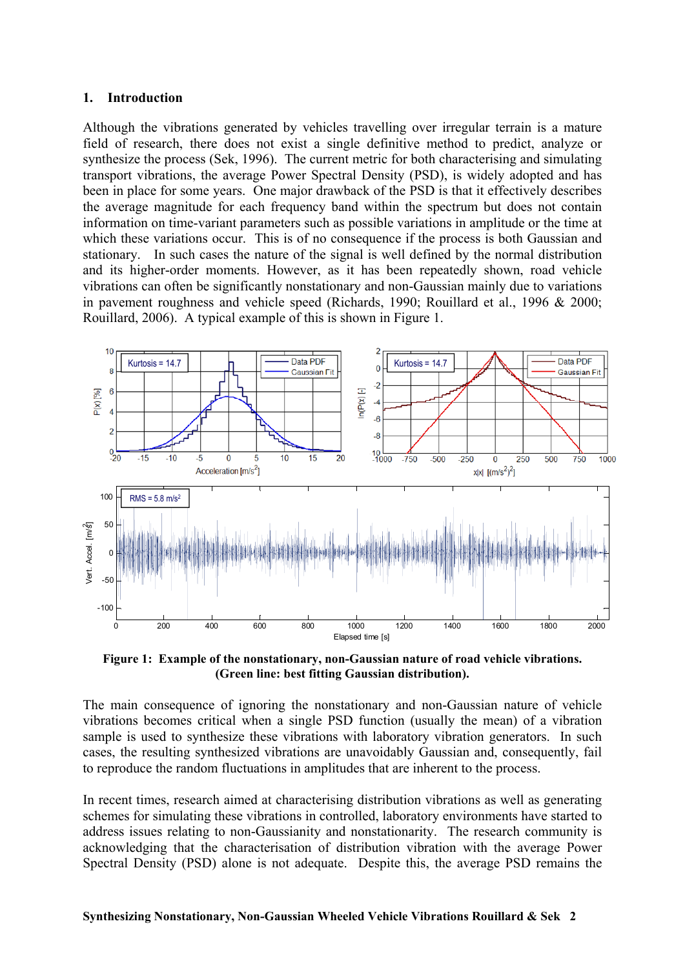### **1. Introduction**

Although the vibrations generated by vehicles travelling over irregular terrain is a mature field of research, there does not exist a single definitive method to predict, analyze or synthesize the process (Sek, 1996). The current metric for both characterising and simulating transport vibrations, the average Power Spectral Density (PSD), is widely adopted and has been in place for some years. One major drawback of the PSD is that it effectively describes the average magnitude for each frequency band within the spectrum but does not contain information on time-variant parameters such as possible variations in amplitude or the time at which these variations occur. This is of no consequence if the process is both Gaussian and stationary. In such cases the nature of the signal is well defined by the normal distribution and its higher-order moments. However, as it has been repeatedly shown, road vehicle vibrations can often be significantly nonstationary and non-Gaussian mainly due to variations in pavement roughness and vehicle speed (Richards, 1990; Rouillard et al., 1996 & 2000; Rouillard, 2006). A typical example of this is shown in Figure 1.



**Figure 1: Example of the nonstationary, non-Gaussian nature of road vehicle vibrations. (Green line: best fitting Gaussian distribution).** 

The main consequence of ignoring the nonstationary and non-Gaussian nature of vehicle vibrations becomes critical when a single PSD function (usually the mean) of a vibration sample is used to synthesize these vibrations with laboratory vibration generators. In such cases, the resulting synthesized vibrations are unavoidably Gaussian and, consequently, fail to reproduce the random fluctuations in amplitudes that are inherent to the process.

In recent times, research aimed at characterising distribution vibrations as well as generating schemes for simulating these vibrations in controlled, laboratory environments have started to address issues relating to non-Gaussianity and nonstationarity. The research community is acknowledging that the characterisation of distribution vibration with the average Power Spectral Density (PSD) alone is not adequate. Despite this, the average PSD remains the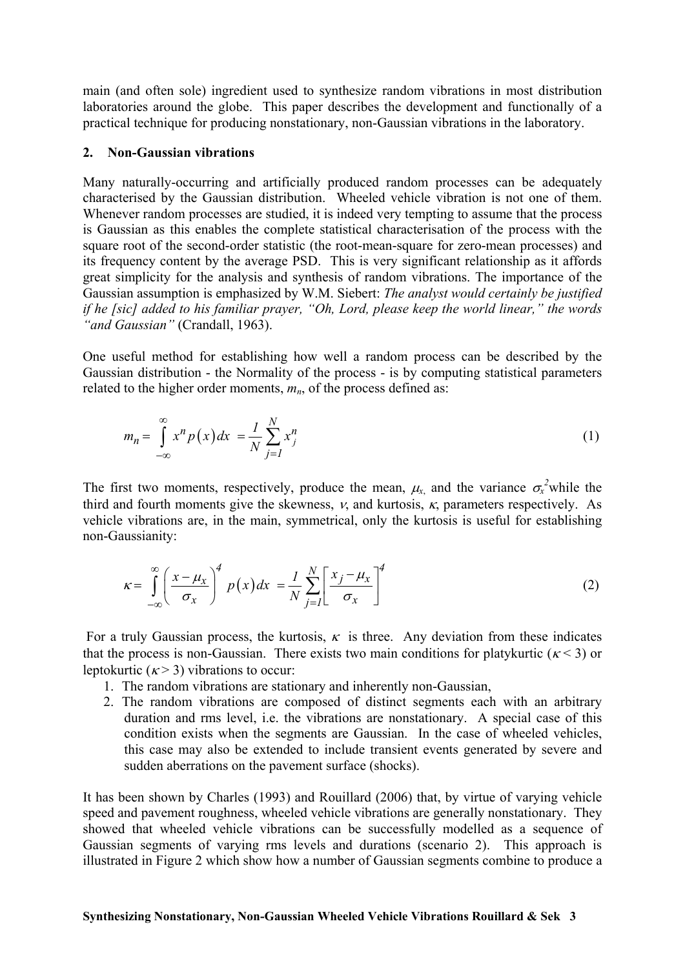main (and often sole) ingredient used to synthesize random vibrations in most distribution laboratories around the globe. This paper describes the development and functionally of a practical technique for producing nonstationary, non-Gaussian vibrations in the laboratory.

#### **2. Non-Gaussian vibrations**

Many naturally-occurring and artificially produced random processes can be adequately characterised by the Gaussian distribution. Wheeled vehicle vibration is not one of them. Whenever random processes are studied, it is indeed very tempting to assume that the process is Gaussian as this enables the complete statistical characterisation of the process with the square root of the second-order statistic (the root-mean-square for zero-mean processes) and its frequency content by the average PSD. This is very significant relationship as it affords great simplicity for the analysis and synthesis of random vibrations. The importance of the Gaussian assumption is emphasized by W.M. Siebert: *The analyst would certainly be justified if he [sic] added to his familiar prayer, "Oh, Lord, please keep the world linear," the words "and Gaussian"* (Crandall, 1963).

One useful method for establishing how well a random process can be described by the Gaussian distribution - the Normality of the process - is by computing statistical parameters related to the higher order moments,  $m_n$ , of the process defined as:

$$
m_n = \int_{-\infty}^{\infty} x^n p(x) dx = \frac{1}{N} \sum_{j=1}^{N} x_j^n
$$
 (1)

The first two moments, respectively, produce the mean,  $\mu_{x}$  and the variance  $\sigma_{x}^2$  while the third and fourth moments give the skewness,  $v$ , and kurtosis,  $\kappa$ , parameters respectively. As vehicle vibrations are, in the main, symmetrical, only the kurtosis is useful for establishing non-Gaussianity:

$$
\kappa = \int_{-\infty}^{\infty} \left( \frac{x - \mu_x}{\sigma_x} \right)^4 p(x) dx = \frac{1}{N} \sum_{j=1}^{N} \left[ \frac{x_j - \mu_x}{\sigma_x} \right]^4
$$
 (2)

For a truly Gaussian process, the kurtosis,  $\kappa$  is three. Any deviation from these indicates that the process is non-Gaussian. There exists two main conditions for platykurtic ( $\kappa$  < 3) or leptokurtic  $(k > 3)$  vibrations to occur:

- 1. The random vibrations are stationary and inherently non-Gaussian,
- 2. The random vibrations are composed of distinct segments each with an arbitrary duration and rms level, i.e. the vibrations are nonstationary. A special case of this condition exists when the segments are Gaussian. In the case of wheeled vehicles, this case may also be extended to include transient events generated by severe and sudden aberrations on the pavement surface (shocks).

It has been shown by Charles (1993) and Rouillard (2006) that, by virtue of varying vehicle speed and pavement roughness, wheeled vehicle vibrations are generally nonstationary. They showed that wheeled vehicle vibrations can be successfully modelled as a sequence of Gaussian segments of varying rms levels and durations (scenario 2). This approach is illustrated in Figure 2 which show how a number of Gaussian segments combine to produce a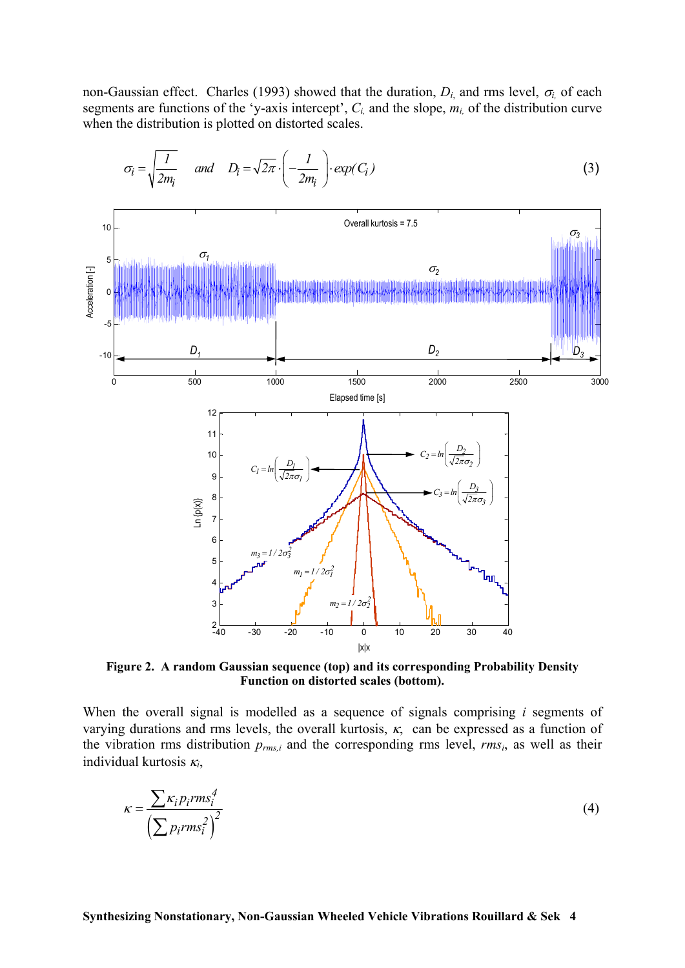non-Gaussian effect. Charles (1993) showed that the duration,  $D_i$  and rms level,  $\sigma_i$  of each segments are functions of the 'y-axis intercept',  $C_i$ , and the slope,  $m_i$ , of the distribution curve when the distribution is plotted on distorted scales.



$$
\sigma_i = \sqrt{\frac{I}{2m_i}} \quad \text{and} \quad D_i = \sqrt{2\pi} \cdot \left(-\frac{I}{2m_i}\right) \cdot \exp(C_i)
$$
 (3)

**Figure 2. A random Gaussian sequence (top) and its corresponding Probability Density Function on distorted scales (bottom).** 

When the overall signal is modelled as a sequence of signals comprising *i* segments of varying durations and rms levels, the overall kurtosis,  $\kappa$ , can be expressed as a function of the vibration rms distribution *prms,i* and the corresponding rms level, *rmsi*, as well as their individual kurtosis <sup>κ</sup>*i*,

$$
\kappa = \frac{\sum \kappa_i p_i r m s_i^4}{\left(\sum p_i r m s_i^2\right)^2}
$$
\n(4)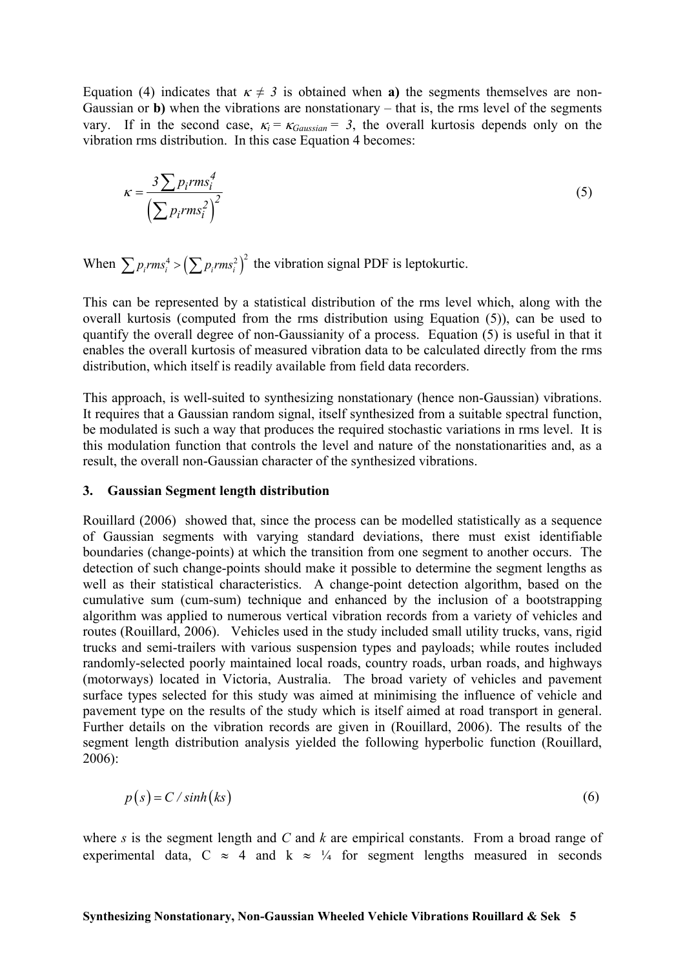Equation (4) indicates that  $\kappa \neq 3$  is obtained when **a**) the segments themselves are non-Gaussian or **b**) when the vibrations are nonstationary – that is, the rms level of the segments vary. If in the second case,  $\kappa_i = \kappa_{Gaussian} = 3$ , the overall kurtosis depends only on the vibration rms distribution. In this case Equation 4 becomes:

$$
\kappa = \frac{3\sum p_i rms_i^4}{\left(\sum p_i rms_i^2\right)^2}
$$
\n(5)

When  $\sum p_i rms_i^4 > (\sum p_i rms_i^2)^2$  the vibration signal PDF is leptokurtic.

This can be represented by a statistical distribution of the rms level which, along with the overall kurtosis (computed from the rms distribution using Equation (5)), can be used to quantify the overall degree of non-Gaussianity of a process. Equation (5) is useful in that it enables the overall kurtosis of measured vibration data to be calculated directly from the rms distribution, which itself is readily available from field data recorders.

This approach, is well-suited to synthesizing nonstationary (hence non-Gaussian) vibrations. It requires that a Gaussian random signal, itself synthesized from a suitable spectral function, be modulated is such a way that produces the required stochastic variations in rms level. It is this modulation function that controls the level and nature of the nonstationarities and, as a result, the overall non-Gaussian character of the synthesized vibrations.

#### **3. Gaussian Segment length distribution**

Rouillard (2006) showed that, since the process can be modelled statistically as a sequence of Gaussian segments with varying standard deviations, there must exist identifiable boundaries (change-points) at which the transition from one segment to another occurs. The detection of such change-points should make it possible to determine the segment lengths as well as their statistical characteristics. A change-point detection algorithm, based on the cumulative sum (cum-sum) technique and enhanced by the inclusion of a bootstrapping algorithm was applied to numerous vertical vibration records from a variety of vehicles and routes (Rouillard, 2006). Vehicles used in the study included small utility trucks, vans, rigid trucks and semi-trailers with various suspension types and payloads; while routes included randomly-selected poorly maintained local roads, country roads, urban roads, and highways (motorways) located in Victoria, Australia. The broad variety of vehicles and pavement surface types selected for this study was aimed at minimising the influence of vehicle and pavement type on the results of the study which is itself aimed at road transport in general. Further details on the vibration records are given in (Rouillard, 2006). The results of the segment length distribution analysis yielded the following hyperbolic function (Rouillard, 2006):

$$
p(s) = C/\sinh(ks)
$$
\n(6)

where *s* is the segment length and *C* and *k* are empirical constants. From a broad range of experimental data, C  $\approx$  4 and k  $\approx$  ¼ for segment lengths measured in seconds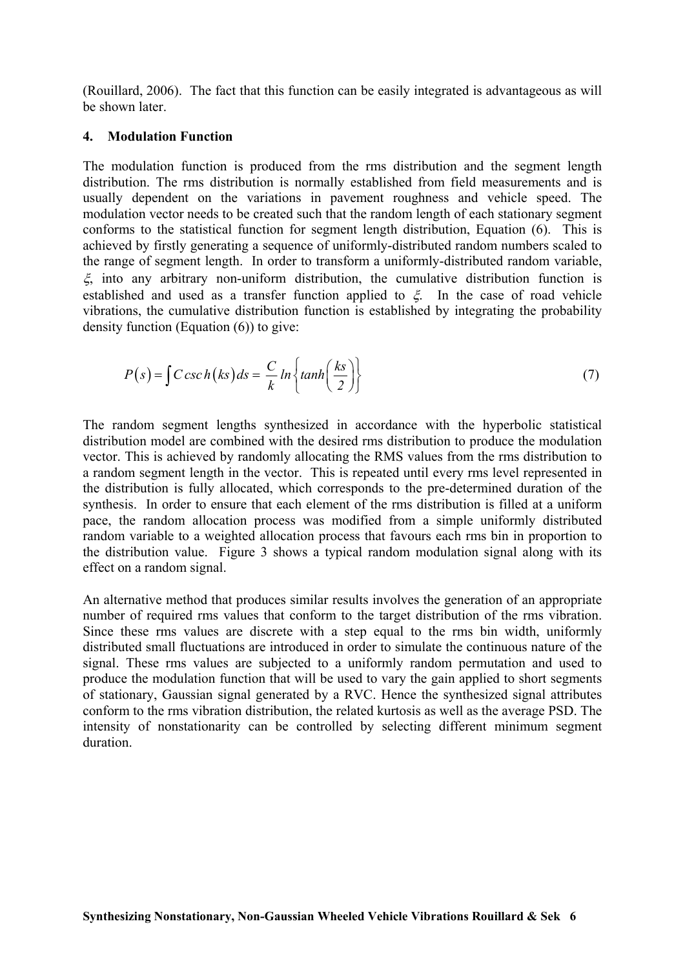(Rouillard, 2006). The fact that this function can be easily integrated is advantageous as will be shown later.

### **4. Modulation Function**

The modulation function is produced from the rms distribution and the segment length distribution. The rms distribution is normally established from field measurements and is usually dependent on the variations in pavement roughness and vehicle speed. The modulation vector needs to be created such that the random length of each stationary segment conforms to the statistical function for segment length distribution, Equation (6). This is achieved by firstly generating a sequence of uniformly-distributed random numbers scaled to the range of segment length. In order to transform a uniformly-distributed random variable, ξ, into any arbitrary non-uniform distribution, the cumulative distribution function is established and used as a transfer function applied to  $\xi$ . In the case of road vehicle vibrations, the cumulative distribution function is established by integrating the probability density function (Equation (6)) to give:

$$
P(s) = \int C \csc h\left(ks\right) ds = \frac{C}{k} \ln \left\{ \tanh\left(\frac{ks}{2}\right) \right\} \tag{7}
$$

The random segment lengths synthesized in accordance with the hyperbolic statistical distribution model are combined with the desired rms distribution to produce the modulation vector. This is achieved by randomly allocating the RMS values from the rms distribution to a random segment length in the vector. This is repeated until every rms level represented in the distribution is fully allocated, which corresponds to the pre-determined duration of the synthesis. In order to ensure that each element of the rms distribution is filled at a uniform pace, the random allocation process was modified from a simple uniformly distributed random variable to a weighted allocation process that favours each rms bin in proportion to the distribution value. Figure 3 shows a typical random modulation signal along with its effect on a random signal.

An alternative method that produces similar results involves the generation of an appropriate number of required rms values that conform to the target distribution of the rms vibration. Since these rms values are discrete with a step equal to the rms bin width, uniformly distributed small fluctuations are introduced in order to simulate the continuous nature of the signal. These rms values are subjected to a uniformly random permutation and used to produce the modulation function that will be used to vary the gain applied to short segments of stationary, Gaussian signal generated by a RVC. Hence the synthesized signal attributes conform to the rms vibration distribution, the related kurtosis as well as the average PSD. The intensity of nonstationarity can be controlled by selecting different minimum segment duration.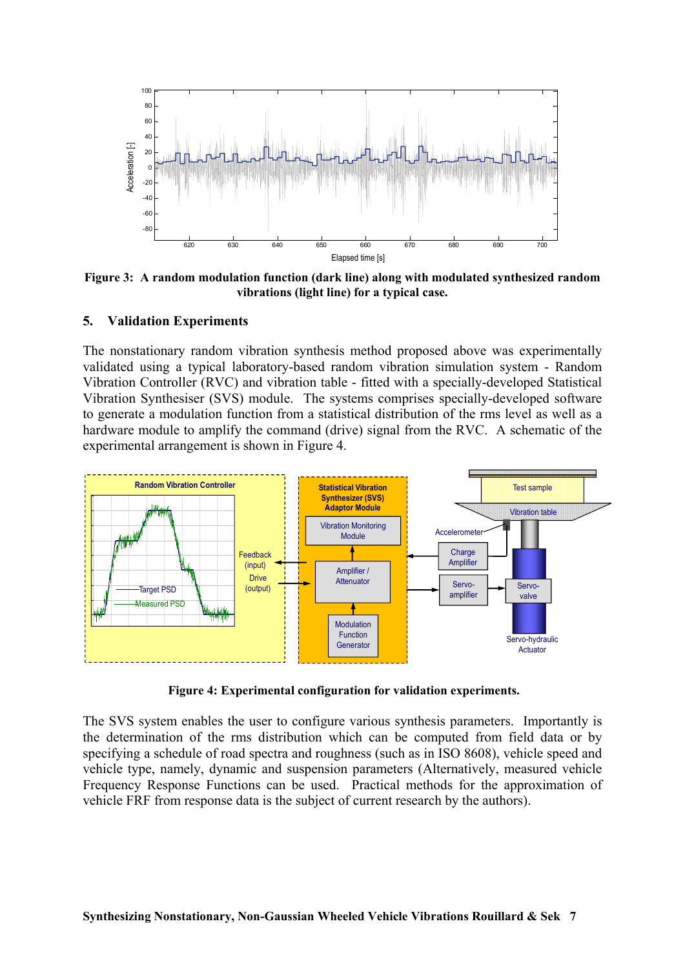

 **Figure 3: A random modulation function (dark line) along with modulated synthesized random vibrations (light line) for a typical case.** 

### **5. Validation Experiments**

The nonstationary random vibration synthesis method proposed above was experimentally validated using a typical laboratory-based random vibration simulation system - Random Vibration Controller (RVC) and vibration table - fitted with a specially-developed Statistical Vibration Synthesiser (SVS) module. The systems comprises specially-developed software to generate a modulation function from a statistical distribution of the rms level as well as a hardware module to amplify the command (drive) signal from the RVC. A schematic of the experimental arrangement is shown in Figure 4.



 **Figure 4: Experimental configuration for validation experiments.** 

The SVS system enables the user to configure various synthesis parameters. Importantly is the determination of the rms distribution which can be computed from field data or by specifying a schedule of road spectra and roughness (such as in ISO 8608), vehicle speed and vehicle type, namely, dynamic and suspension parameters (Alternatively, measured vehicle Frequency Response Functions can be used. Practical methods for the approximation of vehicle FRF from response data is the subject of current research by the authors).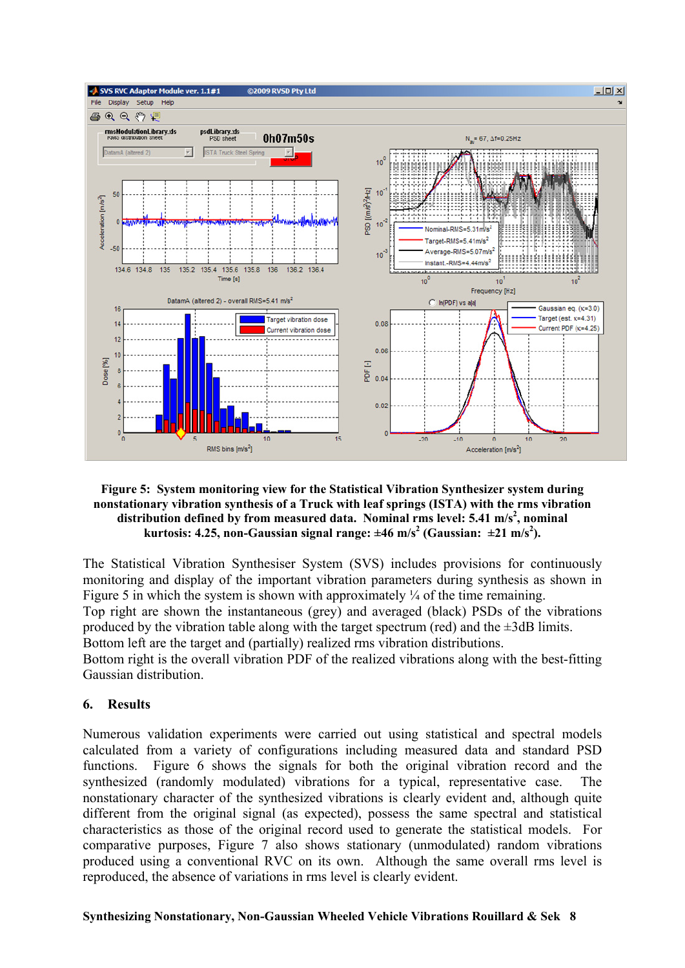

### **Figure 5: System monitoring view for the Statistical Vibration Synthesizer system during nonstationary vibration synthesis of a Truck with leaf springs (ISTA) with the rms vibration**  distribution defined by from measured data. Nominal rms level: 5.41 m/s<sup>2</sup>, nominal kurtosis: 4.25, non-Gaussian signal range:  $\pm 46$  m/s<sup>2</sup> (Gaussian:  $\pm 21$  m/s<sup>2</sup>).

The Statistical Vibration Synthesiser System (SVS) includes provisions for continuously monitoring and display of the important vibration parameters during synthesis as shown in Figure 5 in which the system is shown with approximately  $\frac{1}{4}$  of the time remaining. Top right are shown the instantaneous (grey) and averaged (black) PSDs of the vibrations produced by the vibration table along with the target spectrum (red) and the  $\pm 3$ dB limits. Bottom left are the target and (partially) realized rms vibration distributions.

Bottom right is the overall vibration PDF of the realized vibrations along with the best-fitting Gaussian distribution.

# **6. Results**

Numerous validation experiments were carried out using statistical and spectral models calculated from a variety of configurations including measured data and standard PSD functions. Figure 6 shows the signals for both the original vibration record and the synthesized (randomly modulated) vibrations for a typical, representative case. The nonstationary character of the synthesized vibrations is clearly evident and, although quite different from the original signal (as expected), possess the same spectral and statistical characteristics as those of the original record used to generate the statistical models. For comparative purposes, Figure 7 also shows stationary (unmodulated) random vibrations produced using a conventional RVC on its own. Although the same overall rms level is reproduced, the absence of variations in rms level is clearly evident.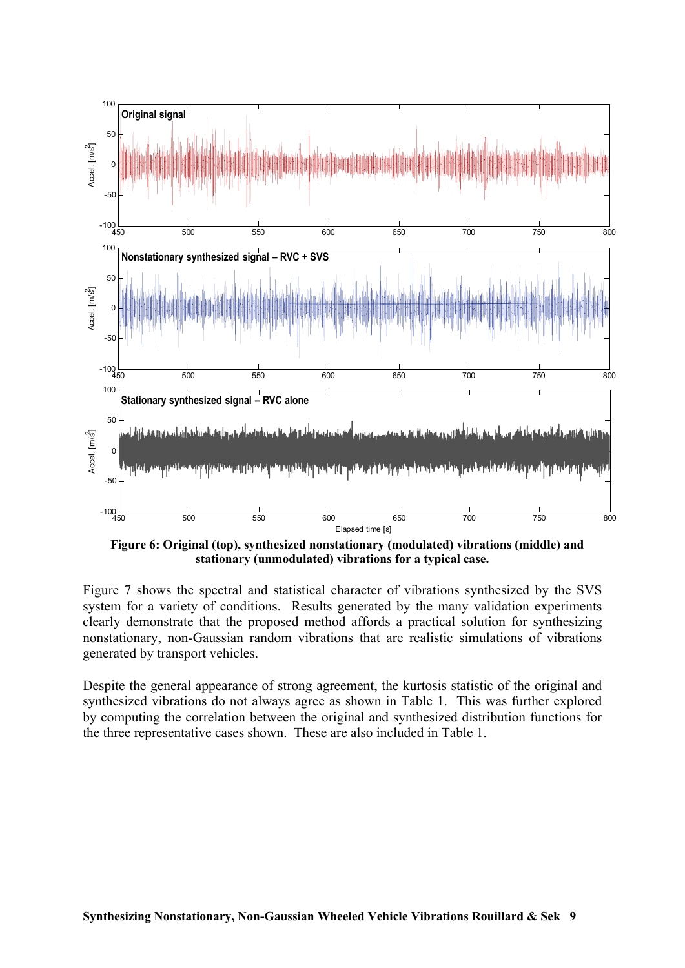

 **Figure 6: Original (top), synthesized nonstationary (modulated) vibrations (middle) and stationary (unmodulated) vibrations for a typical case.** 

Figure 7 shows the spectral and statistical character of vibrations synthesized by the SVS system for a variety of conditions. Results generated by the many validation experiments clearly demonstrate that the proposed method affords a practical solution for synthesizing nonstationary, non-Gaussian random vibrations that are realistic simulations of vibrations generated by transport vehicles.

Despite the general appearance of strong agreement, the kurtosis statistic of the original and synthesized vibrations do not always agree as shown in Table 1. This was further explored by computing the correlation between the original and synthesized distribution functions for the three representative cases shown. These are also included in Table 1.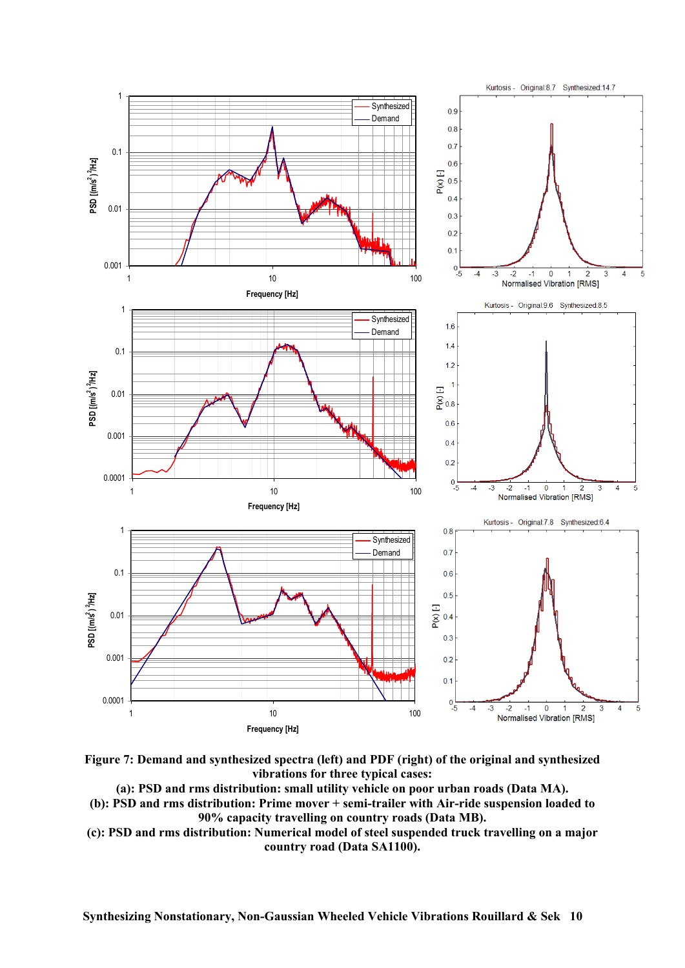



**(a): PSD and rms distribution: small utility vehicle on poor urban roads (Data MA). (b): PSD and rms distribution: Prime mover + semi-trailer with Air-ride suspension loaded to 90% capacity travelling on country roads (Data MB).** 

**(c): PSD and rms distribution: Numerical model of steel suspended truck travelling on a major country road (Data SA1100).**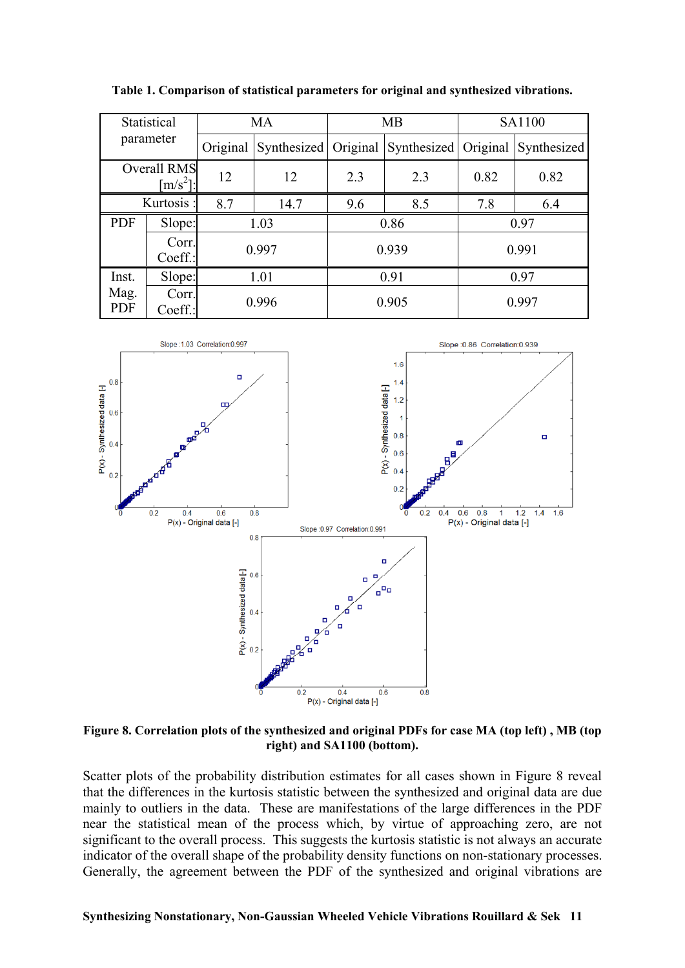**Table 1. Comparison of statistical parameters for original and synthesized vibrations.** 

| Statistical<br>parameter                |        | <b>MA</b> |      | <b>MB</b> |                                                | SA1100 |             |
|-----------------------------------------|--------|-----------|------|-----------|------------------------------------------------|--------|-------------|
|                                         |        | Original  |      |           | Synthesized  Original   Synthesized   Original |        | Synthesized |
| <b>Overall RMS</b><br>$\frac{m}{s^2}$ . |        | 12        | 12   | 2.3       | 2.3                                            | 0.82   | 0.82        |
| Kurtosis:                               |        | 8.7       | 14.7 | 9.6       | 8.5                                            | 7.8    | 6.4         |
| <b>PDF</b>                              | Slope: | 1.03      |      | 0.86      |                                                | 0.97   |             |
| Corr.<br>Coeff.:                        |        | 0.997     |      | 0.939     |                                                | 0.991  |             |
| Inst.                                   | Slope: | 1.01      |      | 0.91      |                                                | 0.97   |             |
| Mag.<br>Corr.<br><b>PDF</b><br>Coeff.:  |        | 0.996     |      | 0.905     |                                                | 0.997  |             |



**Figure 8. Correlation plots of the synthesized and original PDFs for case MA (top left) , MB (top right) and SA1100 (bottom).** 

Scatter plots of the probability distribution estimates for all cases shown in Figure 8 reveal that the differences in the kurtosis statistic between the synthesized and original data are due mainly to outliers in the data. These are manifestations of the large differences in the PDF near the statistical mean of the process which, by virtue of approaching zero, are not significant to the overall process. This suggests the kurtosis statistic is not always an accurate indicator of the overall shape of the probability density functions on non-stationary processes. Generally, the agreement between the PDF of the synthesized and original vibrations are